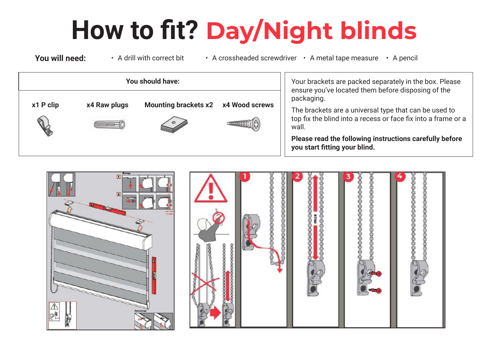## **How to fit? Day/Night blinds**

**You will need:** • A drill with correct bit • A crossheaded screwdriver • A metal tape measure • A pencil **You should have: x1 P clip x4 Raw plugs Mounting brackets x2 x4 Wood screws** Your brackets are packed separately in the box. Please ensure you've located them before disposing of the packaging. The brackets are a universal type that can be used to top fix the blind into a recess or face fix into a frame or a wall. **Please read the following instructions carefully before** 

> $\overline{A}$ 0000000000000000 0000000000

**you start fitting your blind.**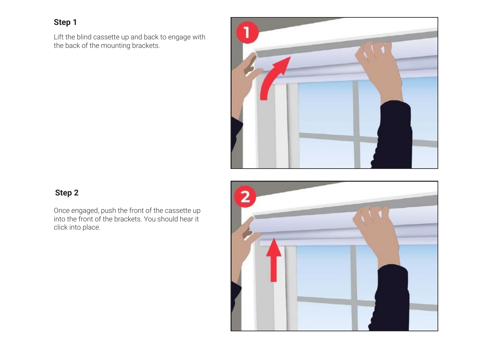## **Step 1**

Lift the blind cassette up and back to engage with the back of the mounting brackets.



## **Step 2**

Once engaged, push the front of the cassette up into the front of the brackets. You should hear it click into place.